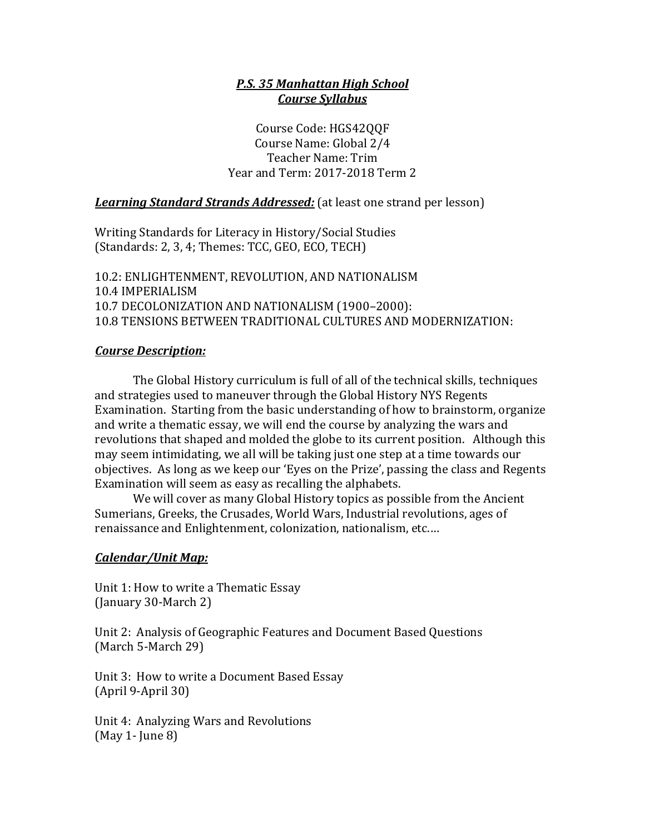### *P.S. 35 Manhattan High School Course Syllabus*

Course Code: HGS42QQF Course Name: Global 2/4 Teacher Name: Trim Year and Term: 2017-2018 Term 2

**Learning Standard Strands Addressed:** (at least one strand per lesson)

Writing Standards for Literacy in History/Social Studies (Standards: 2, 3, 4; Themes: TCC, GEO, ECO, TECH)

10.2: ENLIGHTENMENT, REVOLUTION, AND NATIONALISM 10.4 IMPERIALISM 10.7 DECOLONIZATION AND NATIONALISM (1900-2000): 10.8 TENSIONS BETWEEN TRADITIONAL CULTURES AND MODERNIZATION:

### *Course Description:*

The Global History curriculum is full of all of the technical skills, techniques and strategies used to maneuver through the Global History NYS Regents Examination. Starting from the basic understanding of how to brainstorm, organize and write a thematic essay, we will end the course by analyzing the wars and revolutions that shaped and molded the globe to its current position. Although this may seem intimidating, we all will be taking just one step at a time towards our objectives. As long as we keep our 'Eyes on the Prize', passing the class and Regents Examination will seem as easy as recalling the alphabets.

We will cover as many Global History topics as possible from the Ancient Sumerians, Greeks, the Crusades, World Wars, Industrial revolutions, ages of renaissance and Enlightenment, colonization, nationalism, etc....

#### *Calendar/Unit Map:*

Unit 1: How to write a Thematic Essay (January 30-March 2)

Unit 2: Analysis of Geographic Features and Document Based Questions (March 5-March 29)

Unit 3: How to write a Document Based Essay (April 9-April 30)

Unit 4: Analyzing Wars and Revolutions  $(May 1 - June 8)$